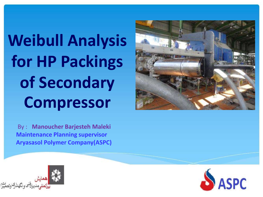## **Weibull Analysis for HP Packings of Secondary Compressor**

By : **Manoucher Barjesteh Maleki Maintenance Planning supervisor Aryasasol Polymer Company(ASPC)**





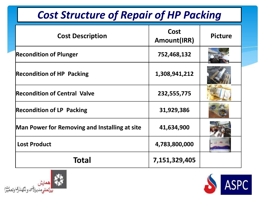| <b>Cost Structure of Repair of HP Packing</b>        |                     |                |  |  |
|------------------------------------------------------|---------------------|----------------|--|--|
| <b>Cost Description</b>                              | Cost<br>Amount(IRR) | <b>Picture</b> |  |  |
| <b>Recondition of Plunger</b>                        | 752,468,132         |                |  |  |
| <b>Recondition of HP Packing</b>                     | 1,308,941,212       |                |  |  |
| <b>Recondition of Central Valve</b>                  | 232,555,775         |                |  |  |
| <b>Recondition of LP Packing</b>                     | 31,929,386          |                |  |  |
| <b>Man Power for Removing and Installing at site</b> | 41,634,900          |                |  |  |
| <b>Lost Product</b>                                  | 4,783,800,000       |                |  |  |
| Total                                                | 7,151,329,405       |                |  |  |



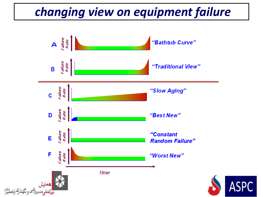## *changing view on equipment failure*

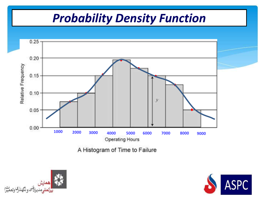## *Probability Density Function*





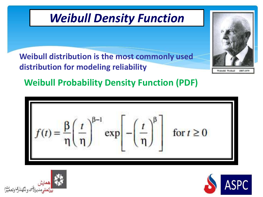





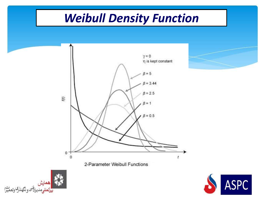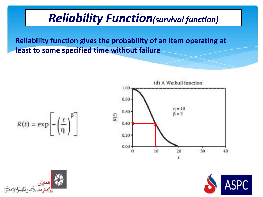## *Reliability Function(survival function)*

**Reliability function gives the probability of an item operating at least to some specified time without failure**

$$
R(t)=\exp\left[-\left(\frac{t}{\eta}\right)^\beta\right]
$$





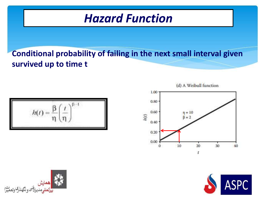## *Hazard Function*

#### **Conditional probability of failing in the next small interval given survived up to time t**

$$
h(t) = \frac{\beta}{\eta} \left(\frac{t}{\eta}\right)^{\beta - 1}
$$

(d) A Weibull function





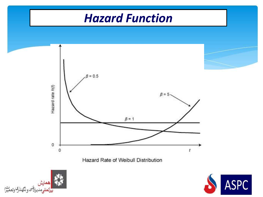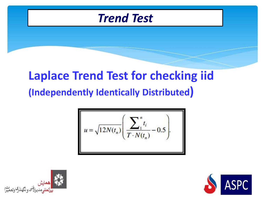

## **Laplace Trend Test for checking iid (Independently Identically Distributed)**

$$
u = \sqrt{12N(t_n)} \left( \frac{\sum_{i=1}^{n} t_i}{T \cdot N(t_n)} - 0.5 \right).
$$



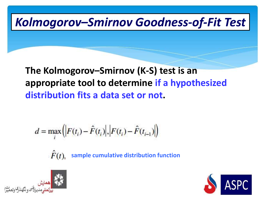## *Kolmogorov–Smirnov Goodness-of-Fit Test*

#### **The Kolmogorov–Smirnov (K-S) test is an appropriate tool to determine if a hypothesized distribution fits a data set or not.**

$$
d = \max_{i} (|F(t_i) - \hat{F}(t_i)|, |F(t_i) - \hat{F}(t_{i-1})|)
$$

 $\ddot{F}(t)$ , **sample cumulative distribution function**



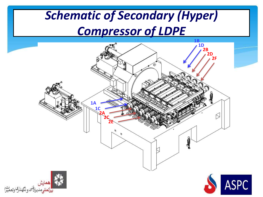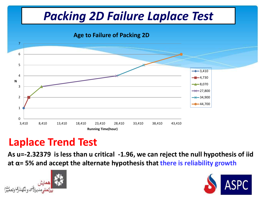## *Packing 2D Failure Laplace Test*



## **Laplace Trend Test**

**As u=-2.32379 is less than u critical -1.96, we can reject the null hypothesis of iid at α= 5% and accept the alternate hypothesis that there is reliability growth**



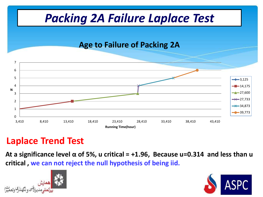

#### **Laplace Trend Test**

**At a significance level α of 5%, u critical = +1.96, Because u=0.314 and less than u critical , we can not reject the null hypothesis of being iid.** 



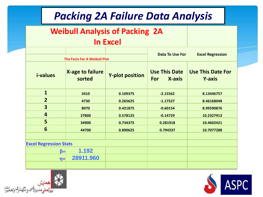## *Packing 2A Failure Data Analysis*

#### **Weibull Analysis of Packing 2A**

#### **In Excel**

|                               |                            |                        | <b>Excel Regression</b><br><b>Data To Use For</b> |                                           |  |
|-------------------------------|----------------------------|------------------------|---------------------------------------------------|-------------------------------------------|--|
| The Facts For A Weibull Plot  |                            |                        |                                                   |                                           |  |
| <i>i-values</i>               | X-age to failure<br>sorted | <b>Y-plot position</b> | <b>Use This Date</b><br>X-axis<br><b>For</b>      | <b>Use This Date For</b><br><b>Y-axis</b> |  |
| $\mathbf{1}$                  | 3410                       | 0.109375               | $-2.15562$                                        | 8.13446757                                |  |
| $\overline{2}$                | 4730                       | 0.265625               | $-1.17527$                                        | 8.46168048                                |  |
| $\overline{\mathbf{3}}$       | 8070                       | 0.421875               | $-0.60154$                                        | 8.99590876                                |  |
| $\overline{4}$                | 27800                      | 0.578125               | $-0.14729$                                        | 10.2327913                                |  |
| 5                             | 34900                      | 0.734375               | 0.281918                                          | 10.4602421                                |  |
| 6                             | 44700                      | 0.890625               | 0.794337                                          | 10.7077288                                |  |
|                               |                            |                        |                                                   |                                           |  |
| <b>Excel Regression Stats</b> |                            |                        |                                                   |                                           |  |
| β=                            | 1.192                      |                        |                                                   |                                           |  |
| $\eta =$                      | 28911.960                  |                        |                                                   |                                           |  |
|                               |                            |                        |                                                   |                                           |  |



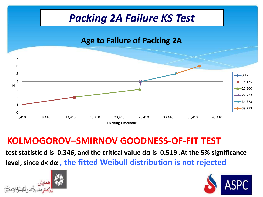

#### **KOLMOGOROV–SMIRNOV GOODNESS-OF-FIT TEST**

**test statistic d is 0.346, and the critical value dα is 0.519 .At the 5% significance level, since d< dα , the fitted Weibull distribution is not rejected**



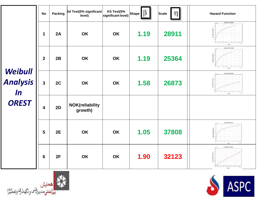| Weibull<br><b>Analysis</b><br>$\ln$<br><b>OREST</b> | <b>No</b>        | Packing | iid Test(5% significant<br>level)  | KS Test(5%<br>significant level) Shape |      | <b>Scale</b> | <b>Hazard Function</b>                                                                                                                                     |
|-----------------------------------------------------|------------------|---------|------------------------------------|----------------------------------------|------|--------------|------------------------------------------------------------------------------------------------------------------------------------------------------------|
|                                                     | 1                | 2A      | OK                                 | OK                                     | 1.19 | 28911        | <b>Institution Funding</b><br>and the decision of<br><b>April</b>                                                                                          |
|                                                     | $\overline{2}$   | 2B      | OK                                 | OK                                     | 1.19 | 25364        | bearings include<br>$= \begin{array}{ccccc} \alpha & \alpha & \alpha & \alpha & \alpha & \alpha \\ \alpha & \alpha & \alpha & \alpha & \alpha \end{array}$ |
|                                                     | $\overline{3}$   | 2C      | OK                                 | <b>OK</b>                              | 1.58 | 26873        | Insect Race Paradise<br>$\frac{1}{449}$ , $\frac{1}{2}$                                                                                                    |
|                                                     | $\boldsymbol{4}$ | 2D      | <b>NOK</b> (reliability<br>growth) |                                        |      |              |                                                                                                                                                            |
|                                                     | 5                | 2E      | OK                                 | OK                                     | 1.05 | 37808        | <b>Ashfrict Faction</b><br>تمنا<br>643                                                                                                                     |
|                                                     | $6\phantom{1}6$  | 2F      | OK                                 | OK                                     | 1.90 | 32123        | <b>START BARTISTERS</b><br>52                                                                                                                              |



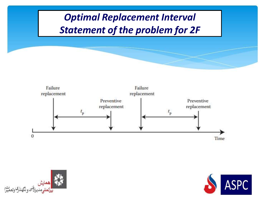





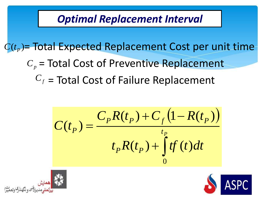## *Optimal Replacement Interval*

 $C(t_p)$ = Total Expected Replacement Cost per unit time

- = Total Cost of Preventive Replacement *Cp*
	- $C_f$  = Total Cost of Failure Replacement

$$
C(t_p) = \frac{C_p R(t_p) + C_f (1 - R(t_p))}{t_p R(t_p) + \int_0^t tf(t)dt}
$$



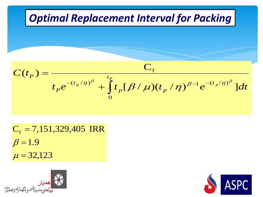| Optimal Replacement Interval for Packing                                                                                      |
|-------------------------------------------------------------------------------------------------------------------------------|
| $C(t_P) = \frac{C_f}{t_P e^{-(t_P/\eta)^\beta} + \int_0^{t_P} t_p [\beta/\mu)(t_p/\eta)^{\beta-1} e^{-(t_p/\eta)^\beta}]} dt$ |

 $\mu = 32,123$  $\beta = 1.9$  $C_f$  = 7,151,329,405 IRR



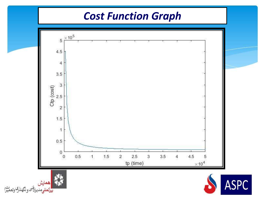## *Cost Function Graph*



<mark>ا ھمايش</mark><br>بيللملل<sub>و</sub>مديرا<sup>فني</sup> ونگھللرگ وتعميرا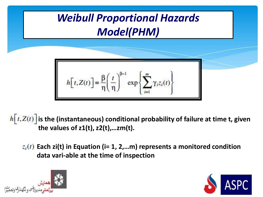## *Weibull Proportional Hazards Model(PHM)*

$$
h[t, Z(t)] = \frac{\beta}{\eta} \left(\frac{t}{\eta}\right)^{\beta - 1} \exp\left\{\sum_{i=1}^{m} \gamma_i z_i(t)\right\}
$$

 $\hat{h}[t, Z(t)]$  is the (instantaneous) conditional probability of failure at time t, given **the values of z1(t), z2(t),…zm(t).**

**Each zi(t) in Equation (i= 1, 2,…m) represents a monitored condition data vari-able at the time of inspection**



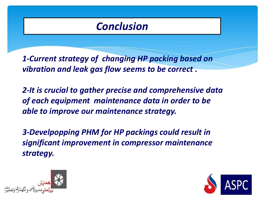## *Conclusion*

*1-Current strategy of changing HP packing based on vibration and leak gas flow seems to be correct .*

*2-It is crucial to gather precise and comprehensive data of each equipment maintenance data in order to be able to improve our maintenance strategy.*

*3-Develpopping PHM for HP packings could result in significant improvement in compressor maintenance strategy.*